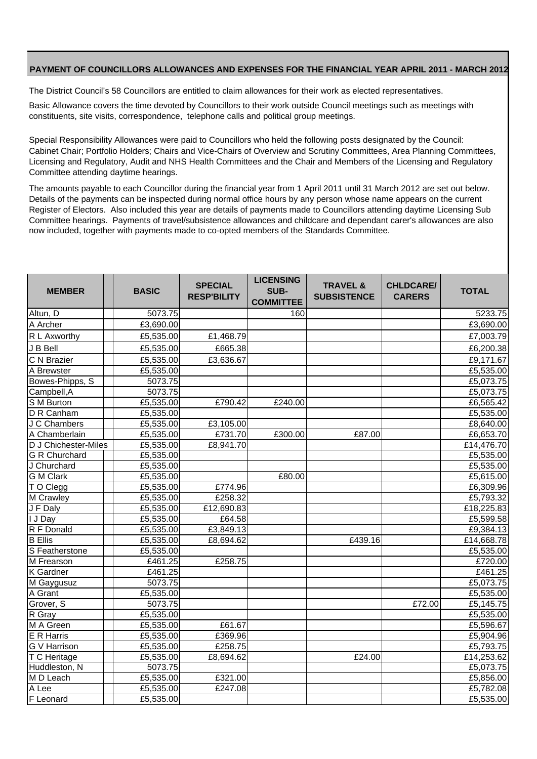## **PAYMENT OF COUNCILLORS ALLOWANCES AND EXPENSES FOR THE FINANCIAL YEAR APRIL 2011 - MARCH 2012**

The District Council's 58 Councillors are entitled to claim allowances for their work as elected representatives.

Basic Allowance covers the time devoted by Councillors to their work outside Council meetings such as meetings with constituents, site visits, correspondence, telephone calls and political group meetings.

Cabinet Chair; Portfolio Holders; Chairs and Vice-Chairs of Overview and Scrutiny Committees, Area Planning Committees, Licensing and Regulatory, Audit and NHS Health Committees and the Chair and Members of the Licensing and Regulatory Committee attending daytime hearings. Special Responsibility Allowances were paid to Councillors who held the following posts designated by the Council:

The amounts payable to each Councillor during the financial year from 1 April 2011 until 31 March 2012 are set out below. Details of the payments can be inspected during normal office hours by any person whose name appears on the current Register of Electors. Also included this year are details of payments made to Councillors attending daytime Licensing Sub Committee hearings. Payments of travel/subsistence allowances and childcare and dependant carer's allowances are also now included, together with payments made to co-opted members of the Standards Committee.

| <b>MEMBER</b>        | <b>BASIC</b> | <b>SPECIAL</b><br><b>RESP'BILITY</b> | <b>LICENSING</b><br>SUB-<br><b>COMMITTEE</b> | <b>TRAVEL &amp;</b><br><b>SUBSISTENCE</b> | <b>CHLDCARE/</b><br><b>CARERS</b> | <b>TOTAL</b> |
|----------------------|--------------|--------------------------------------|----------------------------------------------|-------------------------------------------|-----------------------------------|--------------|
| Altun, D             | 5073.75      |                                      | 160                                          |                                           |                                   | 5233.75      |
| A Archer             | £3,690.00    |                                      |                                              |                                           |                                   | £3,690.00    |
| R L Axworthy         | £5,535.00    | £1,468.79                            |                                              |                                           |                                   | £7,003.79    |
| J B Bell             | £5,535.00    | £665.38                              |                                              |                                           |                                   | £6,200.38    |
| C N Brazier          | £5,535.00    | £3,636.67                            |                                              |                                           |                                   | £9,171.67    |
| A Brewster           | £5,535.00    |                                      |                                              |                                           |                                   | £5,535.00    |
| Bowes-Phipps, S      | 5073.75      |                                      |                                              |                                           |                                   | £5,073.75    |
| Campbell, A          | 5073.75      |                                      |                                              |                                           |                                   | £5,073.75    |
| S M Burton           | £5,535.00    | £790.42                              | £240.00                                      |                                           |                                   | £6,565.42    |
| D R Canham           | £5,535.00    |                                      |                                              |                                           |                                   | £5,535.00    |
| J C Chambers         | £5,535.00    | £3,105.00                            |                                              |                                           |                                   | £8,640.00    |
| A Chamberlain        | £5,535.00    | £731.70                              | £300.00                                      | £87.00                                    |                                   | £6,653.70    |
| D J Chichester-Miles | £5,535.00    | £8,941.70                            |                                              |                                           |                                   | £14,476.70   |
| <b>G R Churchard</b> | £5,535.00    |                                      |                                              |                                           |                                   | £5,535.00    |
| J Churchard          | £5,535.00    |                                      |                                              |                                           |                                   | £5,535.00    |
| <b>G</b> M Clark     | £5,535.00    |                                      | £80.00                                       |                                           |                                   | £5,615.00    |
| TO Clegg             | £5,535.00    | £774.96                              |                                              |                                           |                                   | £6,309.96    |
| M Crawley            | £5,535.00    | £258.32                              |                                              |                                           |                                   | £5,793.32    |
| J F Daly             | £5,535.00    | £12,690.83                           |                                              |                                           |                                   | £18,225.83   |
| I J Day              | £5,535.00    | £64.58                               |                                              |                                           |                                   | £5,599.58    |
| R F Donald           | £5,535.00    | £3,849.13                            |                                              |                                           |                                   | £9,384.13    |
| <b>B</b> Ellis       | £5,535.00    | £8,694.62                            |                                              | £439.16                                   |                                   | £14,668.78   |
| S Featherstone       | £5,535.00    |                                      |                                              |                                           |                                   | £5,535.00    |
| M Frearson           | E461.25      | £258.75                              |                                              |                                           |                                   | £720.00      |
| <b>K</b> Gardner     | £461.25      |                                      |                                              |                                           |                                   | £461.25      |
| M Gaygusuz           | 5073.75      |                                      |                                              |                                           |                                   | £5,073.75    |
| A Grant              | £5,535.00    |                                      |                                              |                                           |                                   | £5,535.00    |
| Grover, S            | 5073.75      |                                      |                                              |                                           | £72.00                            | £5,145.75    |
| $R$ Gray             | £5,535.00    |                                      |                                              |                                           |                                   | £5,535.00    |
| M A Green            | £5,535.00    | £61.67                               |                                              |                                           |                                   | £5,596.67    |
| <b>E</b> R Harris    | £5,535.00    | £369.96                              |                                              |                                           |                                   | £5,904.96    |
| <b>G V Harrison</b>  | £5,535.00    | £258.75                              |                                              |                                           |                                   | £5,793.75    |
| T C Heritage         | £5,535.00    | E8,694.62                            |                                              | £24.00                                    |                                   | £14,253.62   |
| Huddleston, N        | 5073.75      |                                      |                                              |                                           |                                   | £5,073.75    |
| MD Leach             | £5,535.00    | £321.00                              |                                              |                                           |                                   | £5,856.00    |
| A Lee                | £5,535.00    | £247.08                              |                                              |                                           |                                   | £5,782.08    |
| F Leonard            | £5,535.00    |                                      |                                              |                                           |                                   | £5,535.00    |